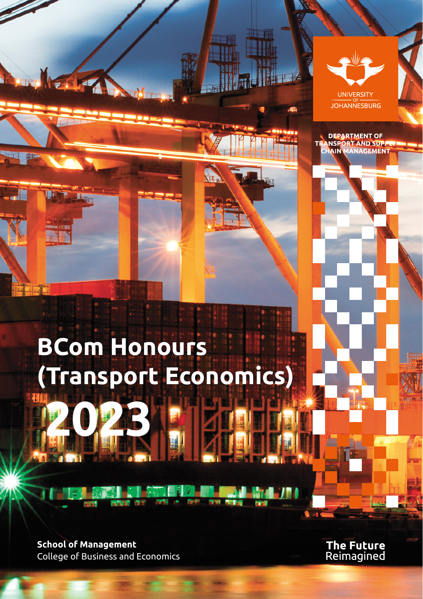

# **BCom Honours (Transport Economics) 2023**

**School of Management** College of Business and Economics **The Future**<br>Reimagined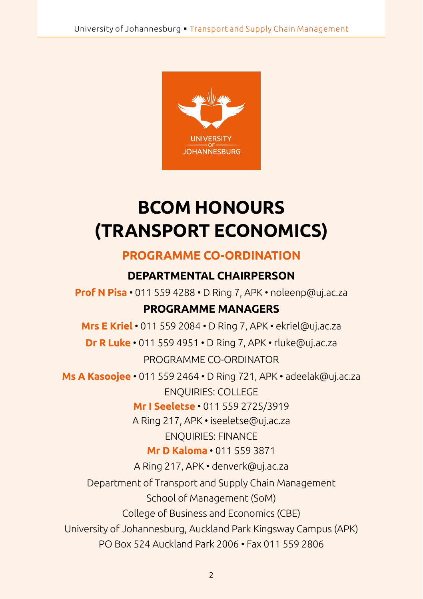

## **BCOM HONOURS (TRANSPORT ECONOMICS)**

#### **PROGRAMME CO-ORDINATION**

#### **DEPARTMENTAL CHAIRPERSON**

**Prof N Pisa** • 011 559 4288 • D Ring 7, APK • noleenp@uj.ac.za **PROGRAMME MANAGERS**

### **Mrs E Kriel** • 011 559 2084 • D Ring 7, APK • ekriel@uj.ac.za

**Dr R Luke** • 011 559 4951 • D Ring 7, APK • rluke@uj.ac.za PROGRAMME CO-ORDINATOR

**Ms A Kasoojee** • 011 559 2464 • D Ring 721, APK • adeelak@uj.ac.za ENQUIRIES: COLLEGE

**Mr I Seeletse** • 011 559 2725/3919

A Ring 217, APK • iseeletse@uj.ac.za

ENQUIRIES: FINANCE

**Mr D Kaloma** • 011 559 3871

A Ring 217, APK • denverk@uj.ac.za

Department of Transport and Supply Chain Management

School of Management (SoM)

College of Business and Economics (CBE)

University of Johannesburg, Auckland Park Kingsway Campus (APK)

PO Box 524 Auckland Park 2006 • Fax 011 559 2806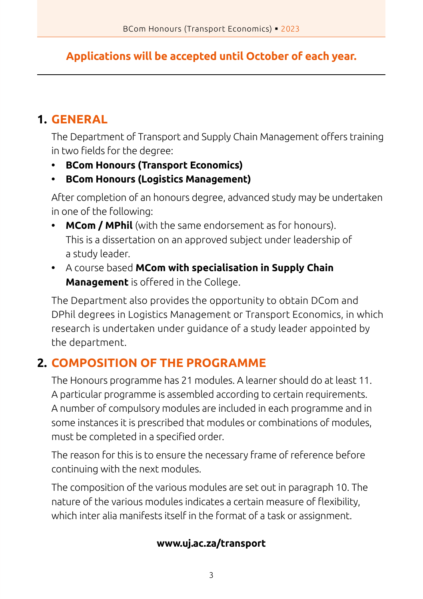#### **Applications will be accepted until October of each year.**

#### **1. GENERAL**

 The Department of Transport and Supply Chain Management offers training in two fields for the degree:

- **• BCom Honours (Transport Economics)**
- **• BCom Honours (Logistics Management)**

After completion of an honours degree, advanced study may be undertaken in one of the following:

- **• MCom / MPhil** (with the same endorsement as for honours). This is a dissertation on an approved subject under leadership of a study leader.
- **•** A course based **MCom with specialisation in Supply Chain Management** is offered in the College.

The Department also provides the opportunity to obtain DCom and DPhil degrees in Logistics Management or Transport Economics, in which research is undertaken under guidance of a study leader appointed by the department.

#### **2. COMPOSITION OF THE PROGRAMME**

The Honours programme has 21 modules. A learner should do at least 11. A particular programme is assembled according to certain requirements. A number of compulsory modules are included in each programme and in some instances it is prescribed that modules or combinations of modules, must be completed in a specified order.

The reason for this is to ensure the necessary frame of reference before continuing with the next modules.

The composition of the various modules are set out in paragraph 10. The nature of the various modules indicates a certain measure of flexibility, which inter alia manifests itself in the format of a task or assignment.

#### **www.uj.ac.za/transport**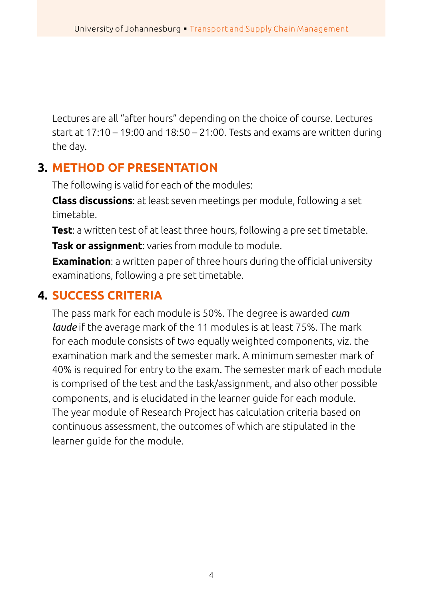Lectures are all "after hours" depending on the choice of course. Lectures start at 17:10 – 19:00 and 18:50 – 21:00. Tests and exams are written during the day.

#### **3. METHOD OF PRESENTATION**

The following is valid for each of the modules:

**Class discussions**: at least seven meetings per module, following a set timetable.

**Test**: a written test of at least three hours, following a pre set timetable.

**Task or assignment:** varies from module to module.

**Examination**: a written paper of three hours during the official university examinations, following a pre set timetable.

#### **4. SUCCESS CRITERIA**

The pass mark for each module is 50%. The degree is awarded *cum laude* if the average mark of the 11 modules is at least 75%. The mark for each module consists of two equally weighted components, viz. the examination mark and the semester mark. A minimum semester mark of 40% is required for entry to the exam. The semester mark of each module is comprised of the test and the task/assignment, and also other possible components, and is elucidated in the learner guide for each module. The year module of Research Project has calculation criteria based on continuous assessment, the outcomes of which are stipulated in the learner guide for the module.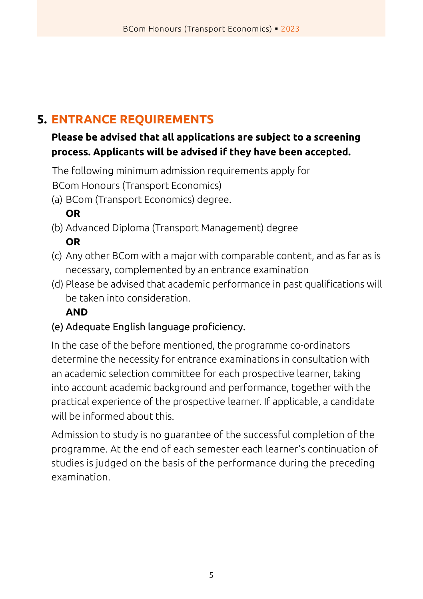#### **5. ENTRANCE REQUIREMENTS**

#### **Please be advised that all applications are subject to a screening process. Applicants will be advised if they have been accepted.**

The following minimum admission requirements apply for BCom Honours (Transport Economics)

(a) BCom (Transport Economics) degree.

#### **OR**

- (b) Advanced Diploma (Transport Management) degree **OR**
- (c) Any other BCom with a major with comparable content, and as far as is necessary, complemented by an entrance examination
- (d) Please be advised that academic performance in past qualifications will be taken into consideration.

#### **AND**

#### (e) Adequate English language proficiency.

In the case of the before mentioned, the programme co-ordinators determine the necessity for entrance examinations in consultation with an academic selection committee for each prospective learner, taking into account academic background and performance, together with the practical experience of the prospective learner. If applicable, a candidate will be informed about this.

Admission to study is no guarantee of the successful completion of the programme. At the end of each semester each learner's continuation of studies is judged on the basis of the performance during the preceding examination.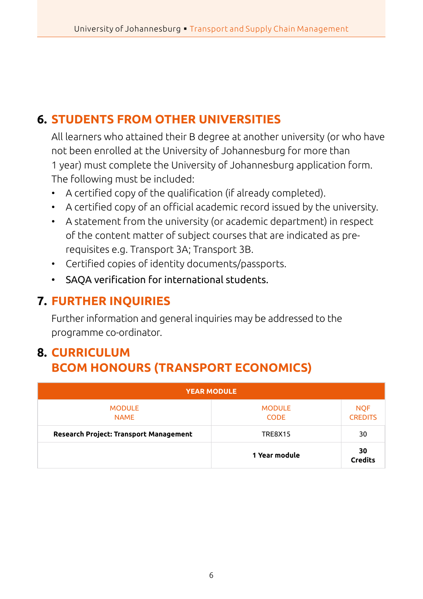#### **6. STUDENTS FROM OTHER UNIVERSITIES**

All learners who attained their B degree at another university (or who have not been enrolled at the University of Johannesburg for more than 1 year) must complete the University of Johannesburg application form. The following must be included:

- • A certified copy of the qualification (if already completed).
- • A certified copy of an official academic record issued by the university.
- A statement from the university (or academic department) in respect of the content matter of subject courses that are indicated as prerequisites e.g. Transport 3A; Transport 3B.
- • Certified copies of identity documents/passports.
- • SAQA verification for international students.

#### **7. FURTHER INQUIRIES**

Further information and general inquiries may be addressed to the programme co-ordinator.

#### **8. CURRICULUM BCOM HONOURS (TRANSPORT ECONOMICS)**

| <b>YEAR MODULE</b>                     |                              |                              |  |  |  |  |
|----------------------------------------|------------------------------|------------------------------|--|--|--|--|
| <b>MODULE</b><br><b>NAME</b>           | <b>MODULE</b><br><b>CODE</b> | <b>NQF</b><br><b>CREDITS</b> |  |  |  |  |
| Research Project: Transport Management | <b>TRE8X15</b>               | 30                           |  |  |  |  |
|                                        | 1 Year module                | 30<br><b>Credits</b>         |  |  |  |  |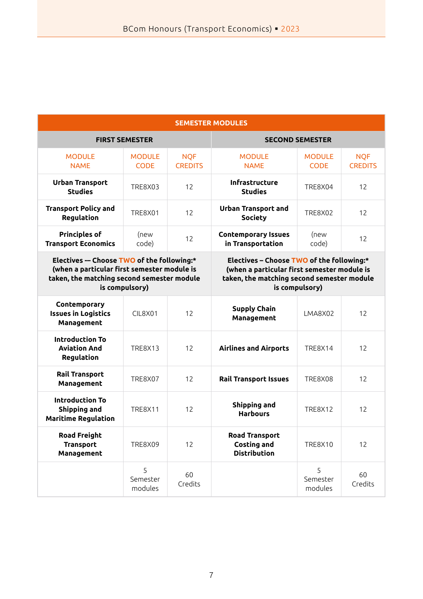| <b>SEMESTER MODULES</b> |  |  |
|-------------------------|--|--|
|                         |  |  |

| <b>FIRST SEMESTER</b>                                                                                                                                    |                              | <b>SECOND SEMESTER</b>                                                                                                                                   |                                                                    |                              |                              |
|----------------------------------------------------------------------------------------------------------------------------------------------------------|------------------------------|----------------------------------------------------------------------------------------------------------------------------------------------------------|--------------------------------------------------------------------|------------------------------|------------------------------|
| <b>MODULE</b><br><b>NAME</b>                                                                                                                             | <b>MODULE</b><br><b>CODE</b> | <b>NOF</b><br><b>CREDITS</b>                                                                                                                             | <b>MODULE</b><br><b>NAME</b>                                       | <b>MODULE</b><br><b>CODE</b> | <b>NOF</b><br><b>CREDITS</b> |
| <b>Urban Transport</b><br><b>Studies</b>                                                                                                                 | TRE8X03                      | 12                                                                                                                                                       | Infrastructure<br><b>Studies</b>                                   | <b>TRE8X04</b>               | 12                           |
| <b>Transport Policy and</b><br>Regulation                                                                                                                | <b>TRE8X01</b>               | 12                                                                                                                                                       | <b>Urban Transport and</b><br>Society                              | <b>TRE8X02</b>               | 12                           |
| <b>Principles of</b><br><b>Transport Economics</b>                                                                                                       | (new<br>code)                | 12                                                                                                                                                       | <b>Contemporary Issues</b><br>in Transportation                    | (new<br>code)                | 12                           |
| Electives - Choose TWO of the following:*<br>(when a particular first semester module is<br>taken, the matching second semester module<br>is compulsory) |                              | Electives - Choose TWO of the following:*<br>(when a particular first semester module is<br>taken, the matching second semester module<br>is compulsory) |                                                                    |                              |                              |
| Contemporary<br><b>Issues in Logistics</b><br>Management                                                                                                 | CIL8X01                      | 12                                                                                                                                                       | <b>Supply Chain</b><br>Management                                  | LMA8X02                      | 12                           |
| <b>Introduction To</b><br><b>Aviation And</b><br>Regulation                                                                                              | <b>TRE8X13</b>               | 12                                                                                                                                                       | <b>Airlines and Airports</b>                                       | <b>TRE8X14</b>               | 12                           |
| <b>Rail Transport</b><br>Management                                                                                                                      | <b>TRE8X07</b>               | 12                                                                                                                                                       | <b>Rail Transport Issues</b>                                       | <b>TRE8X08</b>               | 12                           |
| <b>Introduction To</b><br>Shipping and<br><b>Maritime Regulation</b>                                                                                     | <b>TRE8X11</b>               | 12                                                                                                                                                       | Shipping and<br><b>Harbours</b>                                    | <b>TRE8X12</b>               | 12                           |
| <b>Road Freight</b><br><b>Transport</b><br>Management                                                                                                    | <b>TRE8X09</b>               | 12                                                                                                                                                       | <b>Road Transport</b><br><b>Costing and</b><br><b>Distribution</b> | <b>TRE8X10</b>               | 12                           |
|                                                                                                                                                          | 5<br>Semester<br>modules     | 60<br>Credits                                                                                                                                            |                                                                    | 5<br>Semester<br>modules     | 60<br>Credits                |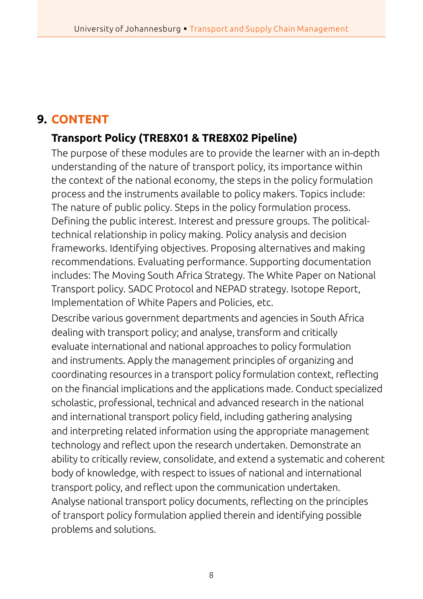#### **9. CONTENT**

#### **Transport Policy (TRE8X01 & TRE8X02 Pipeline)**

The purpose of these modules are to provide the learner with an in-depth understanding of the nature of transport policy, its importance within the context of the national economy, the steps in the policy formulation process and the instruments available to policy makers. Topics include: The nature of public policy. Steps in the policy formulation process. Defining the public interest. Interest and pressure groups. The politicaltechnical relationship in policy making. Policy analysis and decision frameworks. Identifying objectives. Proposing alternatives and making recommendations. Evaluating performance. Supporting documentation includes: The Moving South Africa Strategy. The White Paper on National Transport policy. SADC Protocol and NEPAD strategy. Isotope Report, Implementation of White Papers and Policies, etc.

Describe various government departments and agencies in South Africa dealing with transport policy; and analyse, transform and critically evaluate international and national approaches to policy formulation and instruments. Apply the management principles of organizing and coordinating resources in a transport policy formulation context, reflecting on the financial implications and the applications made. Conduct specialized scholastic, professional, technical and advanced research in the national and international transport policy field, including gathering analysing and interpreting related information using the appropriate management technology and reflect upon the research undertaken. Demonstrate an ability to critically review, consolidate, and extend a systematic and coherent body of knowledge, with respect to issues of national and international transport policy, and reflect upon the communication undertaken. Analyse national transport policy documents, reflecting on the principles of transport policy formulation applied therein and identifying possible problems and solutions.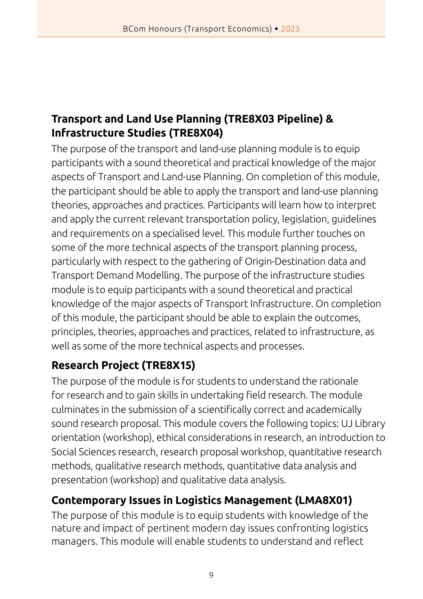#### **Transport and Land Use Planning (TRE8X03 Pipeline) & Infrastructure Studies (TRE8X04)**

The purpose of the transport and land-use planning module is to equip participants with a sound theoretical and practical knowledge of the major aspects of Transport and Land-use Planning. On completion of this module, the participant should be able to apply the transport and land-use planning theories, approaches and practices. Participants will learn how to interpret and apply the current relevant transportation policy, legislation, guidelines and requirements on a specialised level. This module further touches on some of the more technical aspects of the transport planning process, particularly with respect to the gathering of Origin-Destination data and Transport Demand Modelling. The purpose of the infrastructure studies module is to equip participants with a sound theoretical and practical knowledge of the major aspects of Transport Infrastructure. On completion of this module, the participant should be able to explain the outcomes, principles, theories, approaches and practices, related to infrastructure, as well as some of the more technical aspects and processes.

#### **Research Project (TRE8X15)**

The purpose of the module is for students to understand the rationale for research and to gain skills in undertaking field research. The module culminates in the submission of a scientifically correct and academically sound research proposal. This module covers the following topics: UJ Library orientation (workshop), ethical considerations in research, an introduction to Social Sciences research, research proposal workshop, quantitative research methods, qualitative research methods, quantitative data analysis and presentation (workshop) and qualitative data analysis.

#### **Contemporary Issues in Logistics Management (LMA8X01)**

The purpose of this module is to equip students with knowledge of the nature and impact of pertinent modern day issues confronting logistics managers. This module will enable students to understand and reflect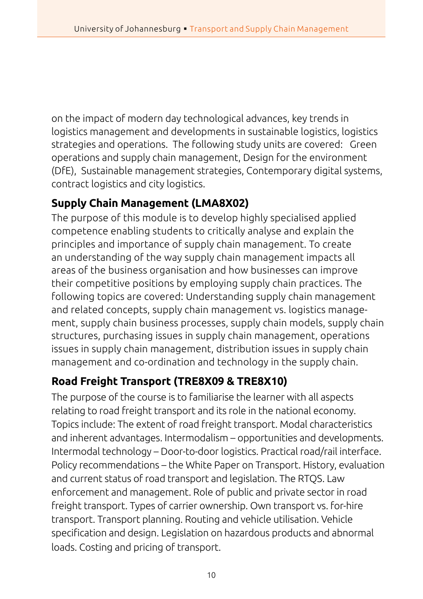on the impact of modern day technological advances, key trends in logistics management and developments in sustainable logistics, logistics strategies and operations. The following study units are covered: Green operations and supply chain management, Design for the environment (DfE), Sustainable management strategies, Contemporary digital systems, contract logistics and city logistics.

#### **Supply Chain Management (LMA8X02)**

The purpose of this module is to develop highly specialised applied competence enabling students to critically analyse and explain the principles and importance of supply chain management. To create an understanding of the way supply chain management impacts all areas of the business organisation and how businesses can improve their competitive positions by employing supply chain practices. The following topics are covered: Understanding supply chain management and related concepts, supply chain management vs. logistics management, supply chain business processes, supply chain models, supply chain structures, purchasing issues in supply chain management, operations issues in supply chain management, distribution issues in supply chain management and co-ordination and technology in the supply chain.

#### **Road Freight Transport (TRE8X09 & TRE8X10)**

The purpose of the course is to familiarise the learner with all aspects relating to road freight transport and its role in the national economy. Topics include: The extent of road freight transport. Modal characteristics and inherent advantages. Intermodalism – opportunities and developments. Intermodal technology – Door-to-door logistics. Practical road/rail interface. Policy recommendations – the White Paper on Transport. History, evaluation and current status of road transport and legislation. The RTQS. Law enforcement and management. Role of public and private sector in road freight transport. Types of carrier ownership. Own transport vs. for-hire transport. Transport planning. Routing and vehicle utilisation. Vehicle specification and design. Legislation on hazardous products and abnormal loads. Costing and pricing of transport.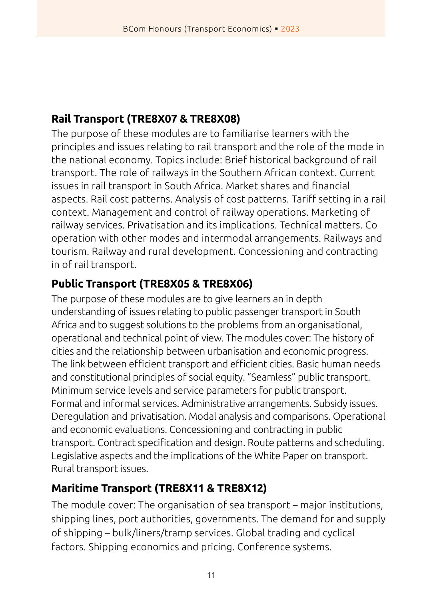#### **Rail Transport (TRE8X07 & TRE8X08)**

The purpose of these modules are to familiarise learners with the principles and issues relating to rail transport and the role of the mode in the national economy. Topics include: Brief historical background of rail transport. The role of railways in the Southern African context. Current issues in rail transport in South Africa. Market shares and financial aspects. Rail cost patterns. Analysis of cost patterns. Tariff setting in a rail context. Management and control of railway operations. Marketing of railway services. Privatisation and its implications. Technical matters. Co operation with other modes and intermodal arrangements. Railways and tourism. Railway and rural development. Concessioning and contracting in of rail transport.

#### **Public Transport (TRE8X05 & TRE8X06)**

The purpose of these modules are to give learners an in depth understanding of issues relating to public passenger transport in South Africa and to suggest solutions to the problems from an organisational, operational and technical point of view. The modules cover: The history of cities and the relationship between urbanisation and economic progress. The link between efficient transport and efficient cities. Basic human needs and constitutional principles of social equity. "Seamless" public transport. Minimum service levels and service parameters for public transport. Formal and informal services. Administrative arrangements. Subsidy issues. Deregulation and privatisation. Modal analysis and comparisons. Operational and economic evaluations. Concessioning and contracting in public transport. Contract specification and design. Route patterns and scheduling. Legislative aspects and the implications of the White Paper on transport. Rural transport issues.

#### **Maritime Transport (TRE8X11 & TRE8X12)**

The module cover: The organisation of sea transport – major institutions, shipping lines, port authorities, governments. The demand for and supply of shipping – bulk/liners/tramp services. Global trading and cyclical factors. Shipping economics and pricing. Conference systems.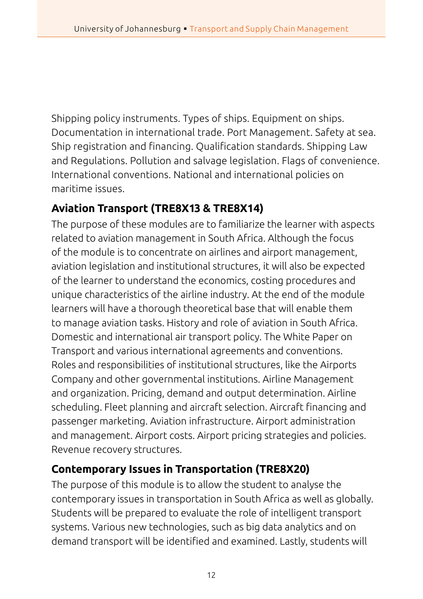Shipping policy instruments. Types of ships. Equipment on ships. Documentation in international trade. Port Management. Safety at sea. Ship registration and financing. Qualification standards. Shipping Law and Regulations. Pollution and salvage legislation. Flags of convenience. International conventions. National and international policies on maritime issues.

#### **Aviation Transport (TRE8X13 & TRE8X14)**

The purpose of these modules are to familiarize the learner with aspects related to aviation management in South Africa. Although the focus of the module is to concentrate on airlines and airport management, aviation legislation and institutional structures, it will also be expected of the learner to understand the economics, costing procedures and unique characteristics of the airline industry. At the end of the module learners will have a thorough theoretical base that will enable them to manage aviation tasks. History and role of aviation in South Africa. Domestic and international air transport policy. The White Paper on Transport and various international agreements and conventions. Roles and responsibilities of institutional structures, like the Airports Company and other governmental institutions. Airline Management and organization. Pricing, demand and output determination. Airline scheduling. Fleet planning and aircraft selection. Aircraft financing and passenger marketing. Aviation infrastructure. Airport administration and management. Airport costs. Airport pricing strategies and policies. Revenue recovery structures.

#### **Contemporary Issues in Transportation (TRE8X20)**

The purpose of this module is to allow the student to analyse the contemporary issues in transportation in South Africa as well as globally. Students will be prepared to evaluate the role of intelligent transport systems. Various new technologies, such as big data analytics and on demand transport will be identified and examined. Lastly, students will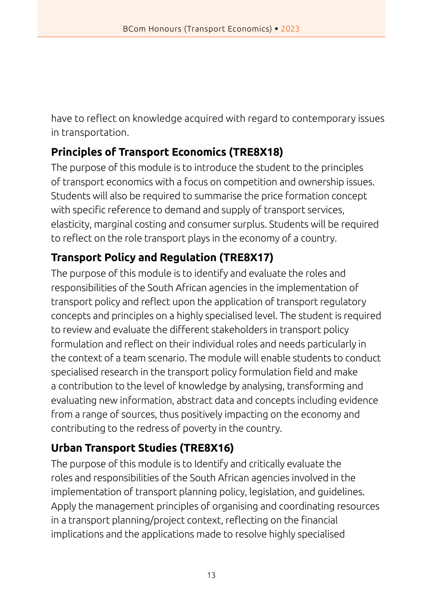have to reflect on knowledge acquired with regard to contemporary issues in transportation.

#### **Principles of Transport Economics (TRE8X18)**

The purpose of this module is to introduce the student to the principles of transport economics with a focus on competition and ownership issues. Students will also be required to summarise the price formation concept with specific reference to demand and supply of transport services, elasticity, marginal costing and consumer surplus. Students will be required to reflect on the role transport plays in the economy of a country.

#### **Transport Policy and Regulation (TRE8X17)**

The purpose of this module is to identify and evaluate the roles and responsibilities of the South African agencies in the implementation of transport policy and reflect upon the application of transport regulatory concepts and principles on a highly specialised level. The student is required to review and evaluate the different stakeholders in transport policy formulation and reflect on their individual roles and needs particularly in the context of a team scenario. The module will enable students to conduct specialised research in the transport policy formulation field and make a contribution to the level of knowledge by analysing, transforming and evaluating new information, abstract data and concepts including evidence from a range of sources, thus positively impacting on the economy and contributing to the redress of poverty in the country.

#### **Urban Transport Studies (TRE8X16)**

The purpose of this module is to Identify and critically evaluate the roles and responsibilities of the South African agencies involved in the implementation of transport planning policy, legislation, and guidelines. Apply the management principles of organising and coordinating resources in a transport planning/project context, reflecting on the financial implications and the applications made to resolve highly specialised